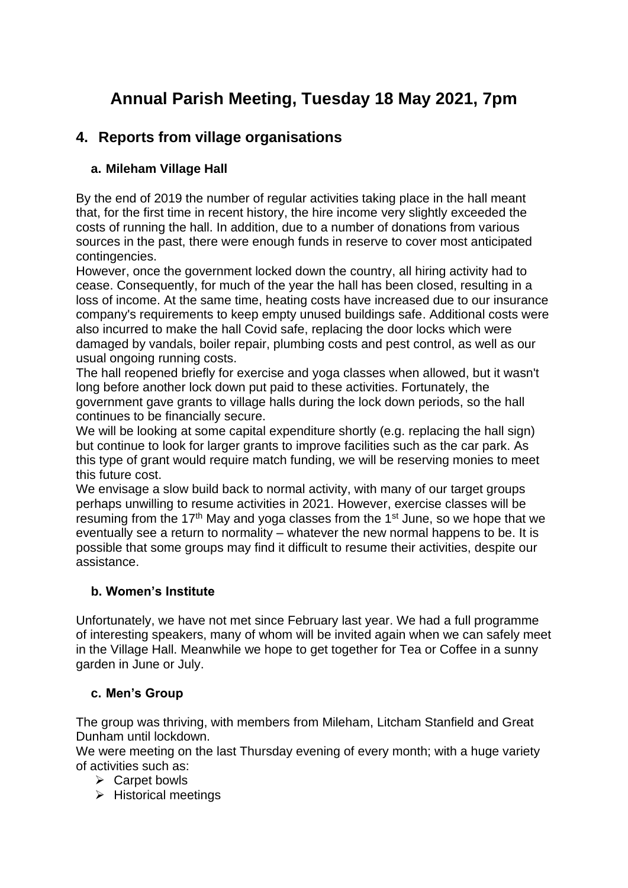# **Annual Parish Meeting, Tuesday 18 May 2021, 7pm**

# **4. Reports from village organisations**

# **a. Mileham Village Hall**

By the end of 2019 the number of regular activities taking place in the hall meant that, for the first time in recent history, the hire income very slightly exceeded the costs of running the hall. In addition, due to a number of donations from various sources in the past, there were enough funds in reserve to cover most anticipated contingencies.

However, once the government locked down the country, all hiring activity had to cease. Consequently, for much of the year the hall has been closed, resulting in a loss of income. At the same time, heating costs have increased due to our insurance company's requirements to keep empty unused buildings safe. Additional costs were also incurred to make the hall Covid safe, replacing the door locks which were damaged by vandals, boiler repair, plumbing costs and pest control, as well as our usual ongoing running costs.

The hall reopened briefly for exercise and yoga classes when allowed, but it wasn't long before another lock down put paid to these activities. Fortunately, the government gave grants to village halls during the lock down periods, so the hall continues to be financially secure.

We will be looking at some capital expenditure shortly (e.g. replacing the hall sign) but continue to look for larger grants to improve facilities such as the car park. As this type of grant would require match funding, we will be reserving monies to meet this future cost.

We envisage a slow build back to normal activity, with many of our target groups perhaps unwilling to resume activities in 2021. However, exercise classes will be resuming from the 17<sup>th</sup> May and yoga classes from the 1<sup>st</sup> June, so we hope that we eventually see a return to normality – whatever the new normal happens to be. It is possible that some groups may find it difficult to resume their activities, despite our assistance.

# **b. Women's Institute**

Unfortunately, we have not met since February last year. We had a full programme of interesting speakers, many of whom will be invited again when we can safely meet in the Village Hall. Meanwhile we hope to get together for Tea or Coffee in a sunny garden in June or July.

# **c. Men's Group**

The group was thriving, with members from Mileham, Litcham Stanfield and Great Dunham until lockdown.

We were meeting on the last Thursday evening of every month; with a huge variety of activities such as:

- ➢ Carpet bowls
- ➢ Historical meetings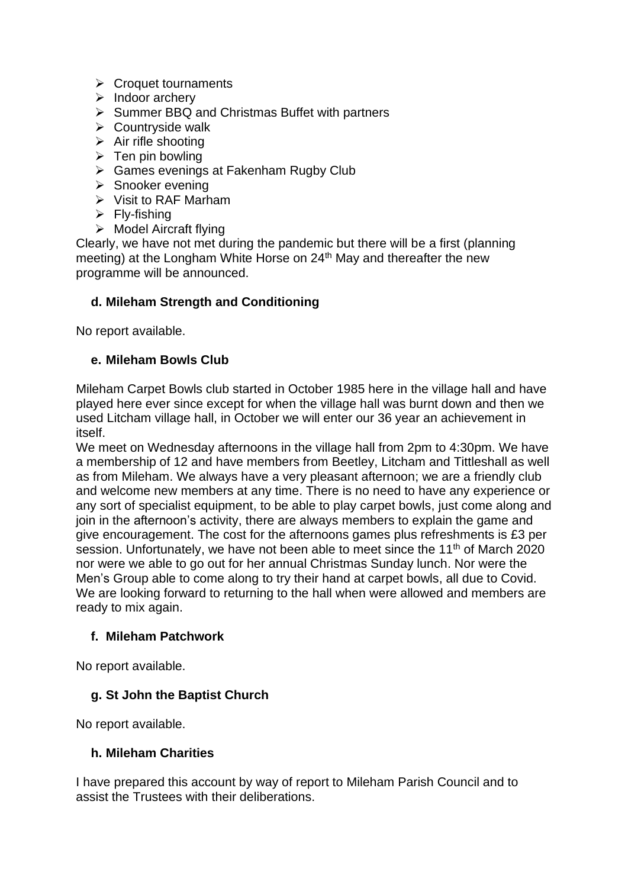- ➢ Croquet tournaments
- ➢ Indoor archery
- ➢ Summer BBQ and Christmas Buffet with partners
- ➢ Countryside walk
- $\triangleright$  Air rifle shooting
- $\triangleright$  Ten pin bowling
- ➢ Games evenings at Fakenham Rugby Club
- ➢ Snooker evening
- ➢ Visit to RAF Marham
- $\triangleright$  Fly-fishing
- ➢ Model Aircraft flying

Clearly, we have not met during the pandemic but there will be a first (planning meeting) at the Longham White Horse on 24<sup>th</sup> May and thereafter the new programme will be announced.

#### **d. Mileham Strength and Conditioning**

No report available.

#### **e. Mileham Bowls Club**

Mileham Carpet Bowls club started in October 1985 here in the village hall and have played here ever since except for when the village hall was burnt down and then we used Litcham village hall, in October we will enter our 36 year an achievement in itself.

We meet on Wednesday afternoons in the village hall from 2pm to 4:30pm. We have a membership of 12 and have members from Beetley, Litcham and Tittleshall as well as from Mileham. We always have a very pleasant afternoon; we are a friendly club and welcome new members at any time. There is no need to have any experience or any sort of specialist equipment, to be able to play carpet bowls, just come along and join in the afternoon's activity, there are always members to explain the game and give encouragement. The cost for the afternoons games plus refreshments is £3 per session. Unfortunately, we have not been able to meet since the  $11<sup>th</sup>$  of March 2020 nor were we able to go out for her annual Christmas Sunday lunch. Nor were the Men's Group able to come along to try their hand at carpet bowls, all due to Covid. We are looking forward to returning to the hall when were allowed and members are ready to mix again.

# **f. Mileham Patchwork**

No report available.

# **g. St John the Baptist Church**

No report available.

#### **h. Mileham Charities**

I have prepared this account by way of report to Mileham Parish Council and to assist the Trustees with their deliberations.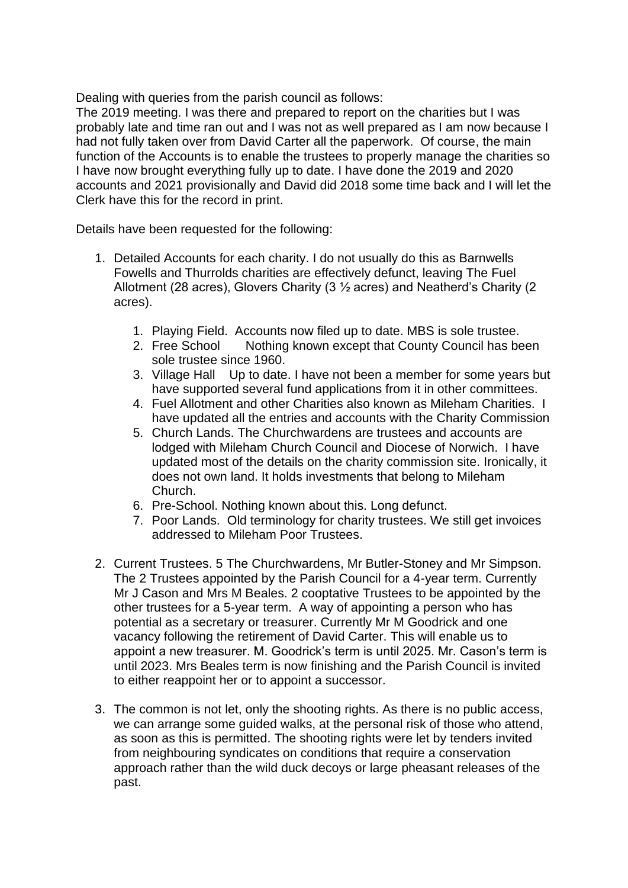Dealing with queries from the parish council as follows:

The 2019 meeting. I was there and prepared to report on the charities but I was probably late and time ran out and I was not as well prepared as I am now because I had not fully taken over from David Carter all the paperwork. Of course, the main function of the Accounts is to enable the trustees to properly manage the charities so I have now brought everything fully up to date. I have done the 2019 and 2020 accounts and 2021 provisionally and David did 2018 some time back and I will let the Clerk have this for the record in print.

Details have been requested for the following:

- 1. Detailed Accounts for each charity. I do not usually do this as Barnwells Fowells and Thurrolds charities are effectively defunct, leaving The Fuel Allotment (28 acres), Glovers Charity (3 ½ acres) and Neatherd's Charity (2 acres).
	- 1. Playing Field. Accounts now filed up to date. MBS is sole trustee.
	- 2. Free School Nothing known except that County Council has been sole trustee since 1960.
	- 3. Village Hall Up to date. I have not been a member for some years but have supported several fund applications from it in other committees.
	- 4. Fuel Allotment and other Charities also known as Mileham Charities. I have updated all the entries and accounts with the Charity Commission
	- 5. Church Lands. The Churchwardens are trustees and accounts are lodged with Mileham Church Council and Diocese of Norwich. I have updated most of the details on the charity commission site. Ironically, it does not own land. It holds investments that belong to Mileham Church.
	- 6. Pre-School. Nothing known about this. Long defunct.
	- 7. Poor Lands. Old terminology for charity trustees. We still get invoices addressed to Mileham Poor Trustees.
- 2. Current Trustees. 5 The Churchwardens, Mr Butler-Stoney and Mr Simpson. The 2 Trustees appointed by the Parish Council for a 4-year term. Currently Mr J Cason and Mrs M Beales. 2 cooptative Trustees to be appointed by the other trustees for a 5-year term. A way of appointing a person who has potential as a secretary or treasurer. Currently Mr M Goodrick and one vacancy following the retirement of David Carter. This will enable us to appoint a new treasurer. M. Goodrick's term is until 2025. Mr. Cason's term is until 2023. Mrs Beales term is now finishing and the Parish Council is invited to either reappoint her or to appoint a successor.
- 3. The common is not let, only the shooting rights. As there is no public access, we can arrange some guided walks, at the personal risk of those who attend, as soon as this is permitted. The shooting rights were let by tenders invited from neighbouring syndicates on conditions that require a conservation approach rather than the wild duck decoys or large pheasant releases of the past.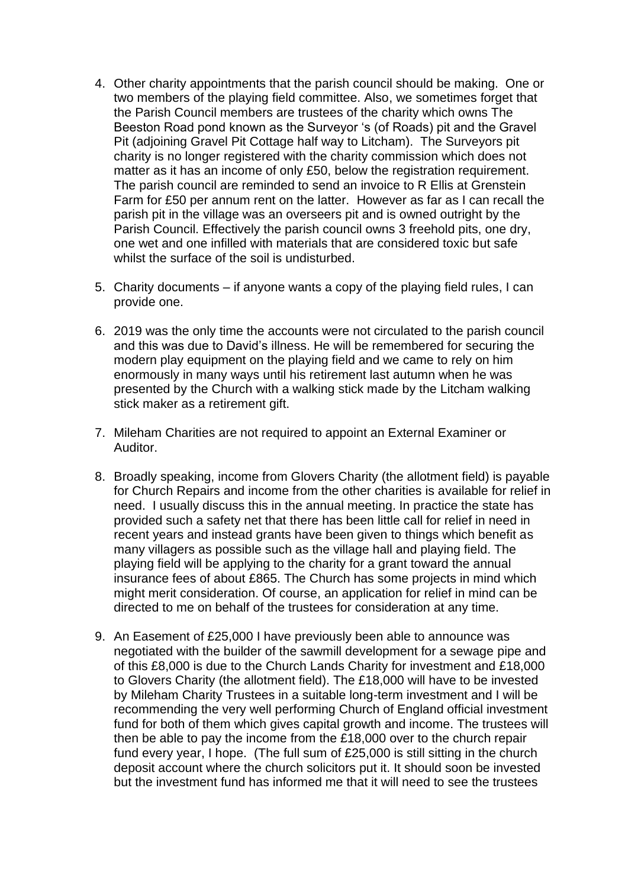- 4. Other charity appointments that the parish council should be making. One or two members of the playing field committee. Also, we sometimes forget that the Parish Council members are trustees of the charity which owns The Beeston Road pond known as the Surveyor 's (of Roads) pit and the Gravel Pit (adjoining Gravel Pit Cottage half way to Litcham). The Surveyors pit charity is no longer registered with the charity commission which does not matter as it has an income of only £50, below the registration requirement. The parish council are reminded to send an invoice to R Ellis at Grenstein Farm for £50 per annum rent on the latter. However as far as I can recall the parish pit in the village was an overseers pit and is owned outright by the Parish Council. Effectively the parish council owns 3 freehold pits, one dry, one wet and one infilled with materials that are considered toxic but safe whilst the surface of the soil is undisturbed.
- 5. Charity documents if anyone wants a copy of the playing field rules, I can provide one.
- 6. 2019 was the only time the accounts were not circulated to the parish council and this was due to David's illness. He will be remembered for securing the modern play equipment on the playing field and we came to rely on him enormously in many ways until his retirement last autumn when he was presented by the Church with a walking stick made by the Litcham walking stick maker as a retirement gift.
- 7. Mileham Charities are not required to appoint an External Examiner or Auditor.
- 8. Broadly speaking, income from Glovers Charity (the allotment field) is payable for Church Repairs and income from the other charities is available for relief in need. I usually discuss this in the annual meeting. In practice the state has provided such a safety net that there has been little call for relief in need in recent years and instead grants have been given to things which benefit as many villagers as possible such as the village hall and playing field. The playing field will be applying to the charity for a grant toward the annual insurance fees of about £865. The Church has some projects in mind which might merit consideration. Of course, an application for relief in mind can be directed to me on behalf of the trustees for consideration at any time.
- 9. An Easement of £25,000 I have previously been able to announce was negotiated with the builder of the sawmill development for a sewage pipe and of this £8,000 is due to the Church Lands Charity for investment and £18,000 to Glovers Charity (the allotment field). The £18,000 will have to be invested by Mileham Charity Trustees in a suitable long-term investment and I will be recommending the very well performing Church of England official investment fund for both of them which gives capital growth and income. The trustees will then be able to pay the income from the £18,000 over to the church repair fund every year, I hope. (The full sum of £25,000 is still sitting in the church deposit account where the church solicitors put it. It should soon be invested but the investment fund has informed me that it will need to see the trustees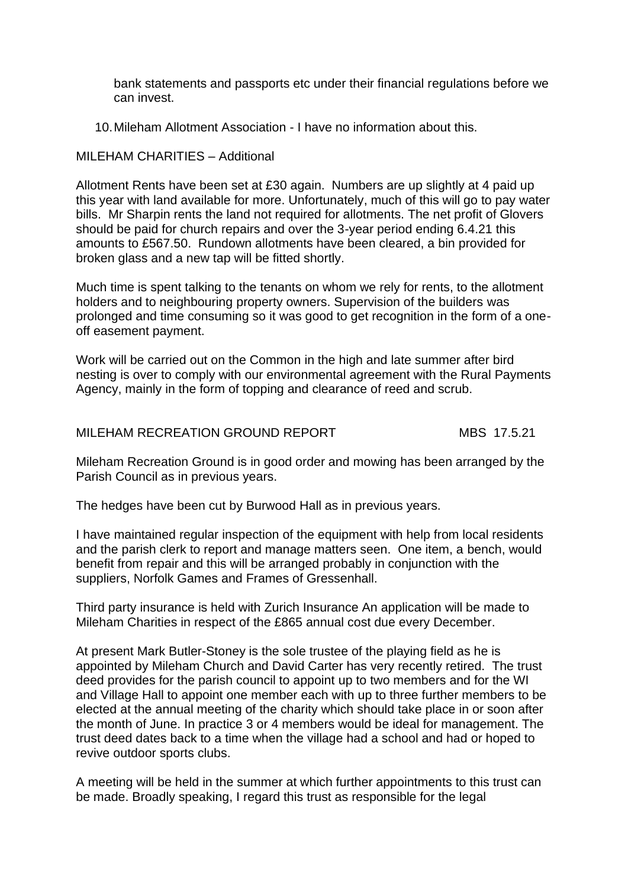bank statements and passports etc under their financial regulations before we can invest.

10.Mileham Allotment Association - I have no information about this.

#### MILEHAM CHARITIES – Additional

Allotment Rents have been set at £30 again. Numbers are up slightly at 4 paid up this year with land available for more. Unfortunately, much of this will go to pay water bills. Mr Sharpin rents the land not required for allotments. The net profit of Glovers should be paid for church repairs and over the 3-year period ending 6.4.21 this amounts to £567.50. Rundown allotments have been cleared, a bin provided for broken glass and a new tap will be fitted shortly.

Much time is spent talking to the tenants on whom we rely for rents, to the allotment holders and to neighbouring property owners. Supervision of the builders was prolonged and time consuming so it was good to get recognition in the form of a oneoff easement payment.

Work will be carried out on the Common in the high and late summer after bird nesting is over to comply with our environmental agreement with the Rural Payments Agency, mainly in the form of topping and clearance of reed and scrub.

### MILEHAM RECREATION GROUND REPORT MBS 17.5.21

Mileham Recreation Ground is in good order and mowing has been arranged by the Parish Council as in previous years.

The hedges have been cut by Burwood Hall as in previous years.

I have maintained regular inspection of the equipment with help from local residents and the parish clerk to report and manage matters seen. One item, a bench, would benefit from repair and this will be arranged probably in conjunction with the suppliers, Norfolk Games and Frames of Gressenhall.

Third party insurance is held with Zurich Insurance An application will be made to Mileham Charities in respect of the £865 annual cost due every December.

At present Mark Butler-Stoney is the sole trustee of the playing field as he is appointed by Mileham Church and David Carter has very recently retired. The trust deed provides for the parish council to appoint up to two members and for the WI and Village Hall to appoint one member each with up to three further members to be elected at the annual meeting of the charity which should take place in or soon after the month of June. In practice 3 or 4 members would be ideal for management. The trust deed dates back to a time when the village had a school and had or hoped to revive outdoor sports clubs.

A meeting will be held in the summer at which further appointments to this trust can be made. Broadly speaking, I regard this trust as responsible for the legal